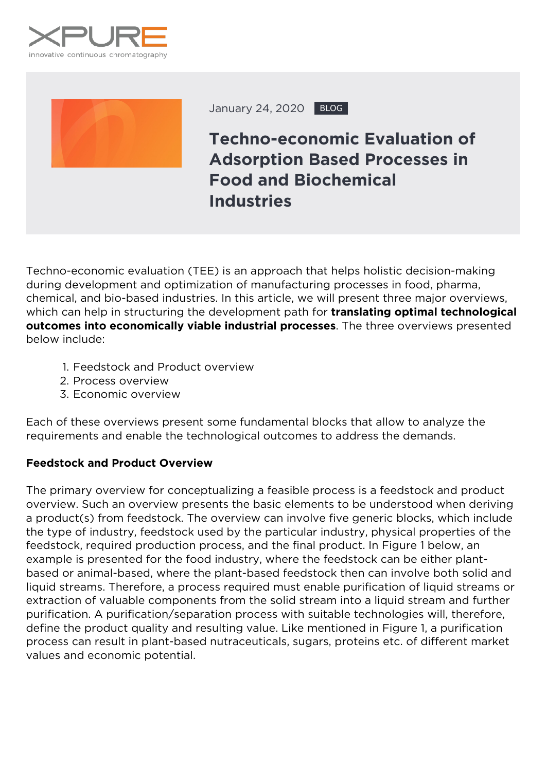



January 24, 2020 BLOG

## **Techno-economic Evaluation of Adsorption Based Processes in Food and Biochemical Industries**

Techno-economic evaluation (TEE) is an approach that helps holistic decision-making during development and optimization of manufacturing processes in food, pharma, chemical, and bio-based industries. In this article, we will present three major overviews, which can help in structuring the development path for *translating optimal technological outcomes into economically viable industrial processes*. The three overviews presented below include:

- 1. Feedstock and Product overview
- 2. Process overview
- 3. Economic overview

Each of these overviews present some fundamental blocks that allow to analyze the requirements and enable the technological outcomes to address the demands.

## **Feedstock and Product Overview**

The primary overview for conceptualizing a feasible process is a feedstock and product overview. Such an overview presents the basic elements to be understood when deriving a product(s) from feedstock. The overview can involve five generic blocks, which include the type of industry, feedstock used by the particular industry, physical properties of the feedstock, required production process, and the final product. In Figure 1 below, an example is presented for the food industry, where the feedstock can be either plantbased or animal-based, where the plant-based feedstock then can involve both solid and liquid streams. Therefore, a process required must enable purification of liquid streams or extraction of valuable components from the solid stream into a liquid stream and further purification. A purification/separation process with suitable technologies will, therefore, define the product quality and resulting value. Like mentioned in Figure 1, a purification process can result in plant-based nutraceuticals, sugars, proteins etc. of different market values and economic potential.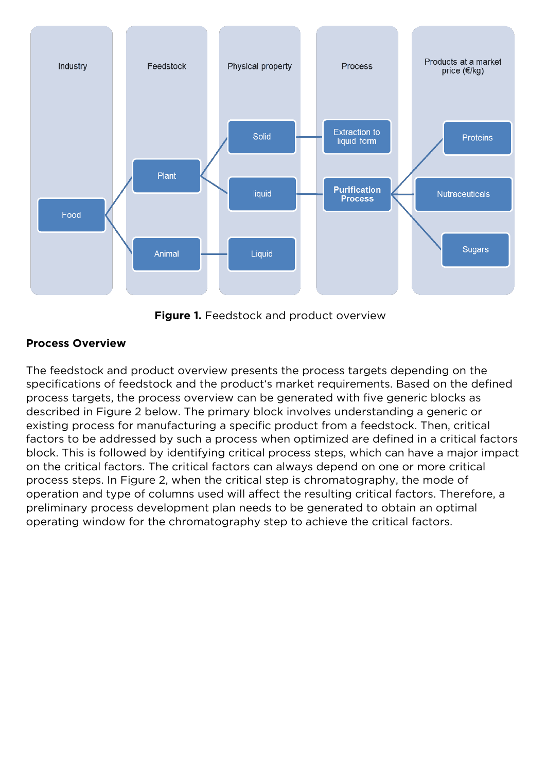

*Figure 1. Feedstock and product overview*

## **Process Overview**

The feedstock and product overview presents the process targets depending on the specifications of feedstock and the product's market requirements. Based on the defined process targets, the process overview can be generated with five generic blocks as described in Figure 2 below. The primary block involves understanding a generic or existing process for manufacturing a specific product from a feedstock. Then, critical factors to be addressed by such a process when optimized are defined in a critical factors block. This is followed by identifying critical process steps, which can have a major impact on the critical factors. The critical factors can always depend on one or more critical process steps. In Figure 2, when the critical step is chromatography, the mode of operation and type of columns used will affect the resulting critical factors. Therefore, a preliminary process development plan needs to be generated to obtain an optimal operating window for the chromatography step to achieve the critical factors.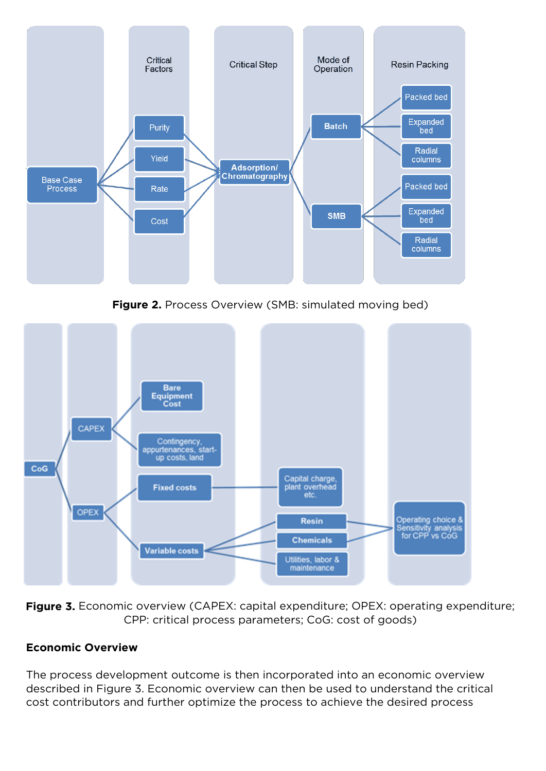

*Figure 2. Process Overview (SMB: simulated moving bed)*



*Figure 3. Economic overview (CAPEX: capital expenditure; OPEX: operating expenditure; CPP: critical process parameters; CoG: cost of goods)*

## **Economic Overview**

The process development outcome is then incorporated into an economic overview described in Figure 3. Economic overview can then be used to understand the critical cost contributors and further optimize the process to achieve the desired process